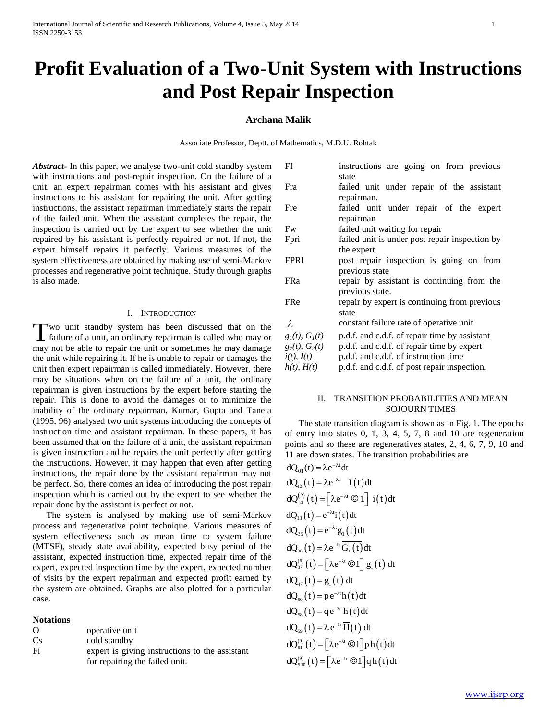# **Profit Evaluation of a Two-Unit System with Instructions and Post Repair Inspection**

## **Archana Malik**

Associate Professor, Deptt. of Mathematics, M.D.U. Rohtak

*Abstract***-** In this paper, we analyse two-unit cold standby system with instructions and post-repair inspection. On the failure of a unit, an expert repairman comes with his assistant and gives instructions to his assistant for repairing the unit. After getting instructions, the assistant repairman immediately starts the repair of the failed unit. When the assistant completes the repair, the inspection is carried out by the expert to see whether the unit repaired by his assistant is perfectly repaired or not. If not, the expert himself repairs it perfectly. Various measures of the system effectiveness are obtained by making use of semi-Markov processes and regenerative point technique. Study through graphs is also made.

#### I. INTRODUCTION

wo unit standby system has been discussed that on the Two unit standby system has been discussed that on the failure of a unit, an ordinary repairman is called who may or may not be able to repair the unit or sometimes he may damage the unit while repairing it. If he is unable to repair or damages the unit then expert repairman is called immediately. However, there may be situations when on the failure of a unit, the ordinary repairman is given instructions by the expert before starting the repair. This is done to avoid the damages or to minimize the inability of the ordinary repairman. Kumar, Gupta and Taneja (1995, 96) analysed two unit systems introducing the concepts of instruction time and assistant repairman. In these papers, it has been assumed that on the failure of a unit, the assistant repairman is given instruction and he repairs the unit perfectly after getting the instructions. However, it may happen that even after getting instructions, the repair done by the assistant repairman may not be perfect. So, there comes an idea of introducing the post repair inspection which is carried out by the expert to see whether the repair done by the assistant is perfect or not.

 The system is analysed by making use of semi-Markov process and regenerative point technique. Various measures of system effectiveness such as mean time to system failure (MTSF), steady state availability, expected busy period of the assistant, expected instruction time, expected repair time of the expert, expected inspection time by the expert, expected number of visits by the expert repairman and expected profit earned by the system are obtained. Graphs are also plotted for a particular case.

**Notations**

| $\Omega$       | operative unit                                 |
|----------------|------------------------------------------------|
| C <sub>s</sub> | cold standby                                   |
| Fi             | expert is giving instructions to the assistant |
|                | for repairing the failed unit.                 |

| FI                  | instructions are going on from previous        |
|---------------------|------------------------------------------------|
|                     | state                                          |
| Fra                 | failed unit under repair of the assistant      |
|                     | repairman.                                     |
| Fre                 | failed unit under repair of the expert         |
|                     | repairman                                      |
| Fw                  | failed unit waiting for repair                 |
| Fpri                | failed unit is under post repair inspection by |
|                     | the expert                                     |
| <b>FPRI</b>         | post repair inspection is going on from        |
|                     | previous state                                 |
| <b>FRa</b>          | repair by assistant is continuing from the     |
|                     | previous state.                                |
| <b>FRe</b>          | repair by expert is continuing from previous   |
|                     | state                                          |
| $\lambda$           | constant failure rate of operative unit        |
| $g_1(t), G_1(t)$    | p.d.f. and c.d.f. of repair time by assistant  |
| $g_2(t)$ , $G_2(t)$ | p.d.f. and c.d.f. of repair time by expert     |
| $i(t)$ , $I(t)$     | p.d.f. and c.d.f. of instruction time          |
| $h(t)$ , $H(t)$     | p.d.f. and c.d.f. of post repair inspection.   |

## II. TRANSITION PROBABILITIES AND MEAN SOJOURN TIMES

 The state transition diagram is shown as in Fig. 1. The epochs of entry into states 0, 1, 3, 4, 5, 7, 8 and 10 are regeneration points and so these are regeneratives states, 2, 4, 6, 7, 9, 10 and 11 are down states. The transition probabilities are

dQ<sub>01</sub>(t) = 
$$
\lambda e^{-\lambda t} dt
$$
  
\ndQ<sub>12</sub>(t) =  $\lambda e^{-\lambda t} \overline{I}(t) dt$   
\ndQ<sub>14</sub><sup>(2)</sup>(t) =  $[\lambda e^{-\lambda t} \odot 1]$  i(t)dt  
\ndQ<sub>13</sub>(t) =  $e^{-\lambda t}i(t)dt$   
\ndQ<sub>35</sub>(t) =  $e^{-\lambda t}g_1(t)dt$   
\ndQ<sub>36</sub>(t) =  $\lambda e^{-\lambda t} \overline{G_1(t)}dt$   
\ndQ<sub>47</sub><sup>(6)</sup>(t) =  $[\lambda e^{-\lambda t} \odot 1]$  g<sub>1</sub>(t) dt  
\ndQ<sub>47</sub>(t) = g<sub>1</sub>(t) dt  
\ndQ<sub>50</sub>(t) =  $pe^{-\lambda t}h(t)dt$   
\ndQ<sub>58</sub>(t) =  $qe^{-\lambda t}h(t)dt$   
\ndQ<sub>59</sub>(t) =  $\lambda e^{-\lambda t} \overline{H}(t) dt$   
\ndQ<sub>59</sub><sup>(9)</sup>(t) =  $[\lambda e^{-\lambda t} \odot 1]$ ph(t)dt  
\ndQ<sub>510</sub><sup>(9)</sup>(t) =  $[\lambda e^{-\lambda t} \odot 1]$ qh(t)dt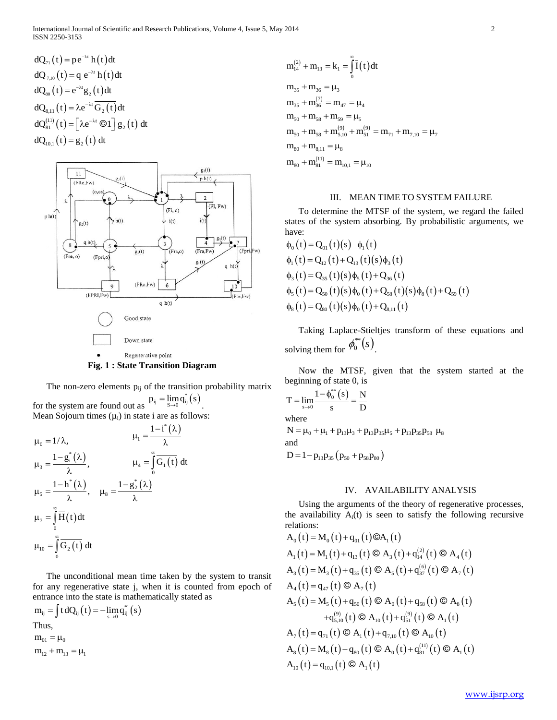$$
dQ_{7,1}(t) = p e^{-\lambda t} h(t) dt
$$
  
\n
$$
dQ_{7,10}(t) = q e^{-\lambda t} h(t) dt
$$
  
\n
$$
dQ_{80}(t) = e^{-\lambda t} g_2(t) dt
$$
  
\n
$$
dQ_{8,11}(t) = \lambda e^{-\lambda t} \overline{G_2(t)} dt
$$
  
\n
$$
dQ_{81}^{(11)}(t) = [\lambda e^{-\lambda t} \odot 1] g_2(t) dt
$$
  
\n
$$
dQ_{10,1}(t) = g_2(t) dt
$$



**Fig. 1 : State Transition Diagram**

The non-zero elements  $p_{ij}$  of the transition probability matrix

for the system are found out as  $p_{ij} = \lim_{s \to 0} q_{ij}^*(s)$ . Mean Sojourn times  $(\mu_i)$  in state i are as follows:

 $\mu_0 = 1/\lambda,$   $\mu_1 = \frac{1 - i^*(\lambda)}{\lambda}$ 1  $\mu_1 = \frac{1-\mathrm{i}^*(\lambda)}{\lambda}$  $_{3} = \frac{1 - g_{i}^{*}(\lambda)}{2}$  $\mu_{3} = \frac{1 - g_{i}^{*}(\lambda)}{\lambda},$  $_{4} = | G_{1}(t) |$ 0  $G_1(t)$  dt  $\mu_4 = \int \widetilde{0}$  $^*(\lambda)$ 5  $\mu_{5} = \frac{1 - h^{*}(\lambda)}{\lambda},$  $x_8 = \frac{1 - g_2^*(\lambda)}{2}$  $\mu_8 = \frac{1 - g_2^*(\lambda)}{\lambda}$  $_{7} = \vert H(t) \vert$  $\mathbf{0}$  $H(t)dt$  $\mu_7 = \int_0^\infty$  $_{10} = | G_2(t) |$  $\mathbf{0}$  $G<sub>2</sub>(t)$  dt  $\mu_{10} = \int_0^\infty$ 

 The unconditional mean time taken by the system to transit for any regenerative state j, when it is counted from epoch of entrance into the state is mathematically stated as

 $m_{ij} = \int t dQ_{ij}(t) = -\lim_{s \to 0} q_{ij}^{*'}(s)$ Thus,  $m_{01} = \mu_0$ 

$$
m_{14}^{(2)} + m_{13} = k_1 = \int_0^{\infty} \overline{I}(t) dt
$$
  
\n
$$
m_{35} + m_{36} = \mu_3
$$
  
\n
$$
m_{35} + m_{36}^{(7)} = m_{47} = \mu_4
$$
  
\n
$$
m_{50} + m_{58} + m_{59} = \mu_5
$$
  
\n
$$
m_{50} + m_{58} + m_{5,10}^{(9)} + m_{51}^{(9)} = m_{71} + m_{7,10} = \mu_7
$$
  
\n
$$
m_{80} + m_{8,11}^{(11)} = \mu_8
$$
  
\n
$$
m_{80} + m_{81}^{(11)} = m_{10,1} = \mu_{10}
$$

#### III. MEAN TIME TO SYSTEM FAILURE

 To determine the MTSF of the system, we regard the failed states of the system absorbing. By probabilistic arguments, we have:

$$
\begin{aligned}\n&\phi_0(t) = Q_{01}(t)(s) \phi_1(t) \\
&\phi_1(t) = Q_{12}(t) + Q_{13}(t)(s)\phi_3(t) \\
&\phi_3(t) = Q_{35}(t)(s)\phi_5(t) + Q_{36}(t) \\
&\phi_5(t) = Q_{50}(t)(s)\phi_0(t) + Q_{58}(t)(s)\phi_8(t) + Q_{59}(t) \\
&\phi_8(t) = Q_{80}(t)(s)\phi_0(t) + Q_{8,11}(t)\n\end{aligned}
$$

 Taking Laplace-Stieltjes transform of these equations and solving them for  $\phi_0^{**}(s)$ .

 Now the MTSF, given that the system started at the beginning of state 0, is

$$
T = \lim_{s \to 0} \frac{1 - \phi_0^{**}(s)}{s} = \frac{N}{D}
$$

where

 $N = \mu_0 + \mu_1 + p_{13}\mu_3 + p_{13}p_{35}\mu_5 + p_{13}p_{35}p_{58} \mu_8$ and

 $D = 1 - p_{13} p_{35} (p_{50} + p_{58} p_{80})$ 

## IV. AVAILABILITY ANALYSIS

 Using the arguments of the theory of regenerative processes, the availability  $A_i(t)$  is seen to satisfy the following recursive relations:

Equations:

\n
$$
A_0(t) = M_0(t) + q_{01}(t) \text{ } \text{ } \text{ } \text{ } \text{ } \text{ } \text{ } \text{ } \text{ } A_1(t) = M_1(t) + q_{13}(t) \text{ } \text{ } \text{ } \text{ } \text{ } \text{ } \text{ } A_3(t) + q_{14}^{(2)}(t) \text{ } \text{ } \text{ } \text{ } \text{ } A_4(t)
$$
\n
$$
A_3(t) = M_3(t) + q_{35}(t) \text{ } \text{ } \text{ } \text{ } \text{ } \text{ } \text{ } \text{ } A_5(t) + q_{37}^{(6)}(t) \text{ } \text{ } \text{ } \text{ } A_7(t)
$$
\n
$$
A_4(t) = q_{47}(t) \text{ } \text{ } \text{ } \text{ } \text{ } \text{ } \text{ } \text{ } A_7(t)
$$
\n
$$
A_5(t) = M_5(t) + q_{50}(t) \text{ } \text{ } \text{ } \text{ } \text{ } A_0(t) + q_{58}(t) \text{ } \text{ } \text{ } \text{ } \text{ } A_8(t)
$$
\n
$$
+ q_{5,10}^{(9)}(t) \text{ } \text{ } \text{ } \text{ } \text{ } A_{10}(t) + q_{51}^{(9)}(t) \text{ } \text{ } \text{ } \text{ } \text{ } A_1(t)
$$
\n
$$
A_7(t) = q_{71}(t) \text{ } \text{ } \text{ } \text{ } \text{ } \text{ } \text{ } \text{ } A_1(t) + q_{7,10}(t) \text{ } \text{ } \text{ } \text{ } \text{ } A_{10}(t)
$$
\n
$$
A_8(t) = M_8(t) + q_{80}(t) \text{ } \text{ } \text{ } \text{ } \text{ } A_0(t) + q_{81}^{(11)}(t) \text{ } \text{ } \text{ } \text{ } A_1(t)
$$
\n
$$
A_{10}(t) = q_{10,1}(t) \text{ } \text{ } \text{ } \text{ } \text{ } \text{ } \text{ } \text{ } A_1(t)
$$
\n
$$
A_{10}(t) = q_{10,1}(t)
$$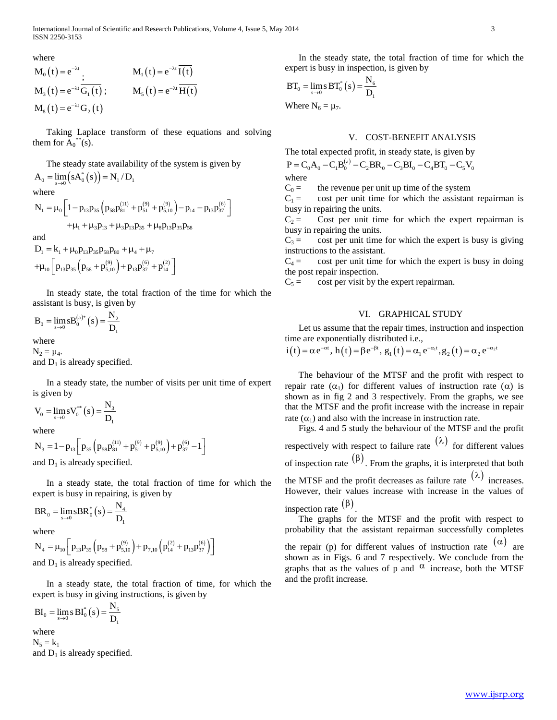International Journal of Scientific and Research Publications, Volume 4, Issue 5, May 2014 3 ISSN 2250-3153

where  $M_0(t) = e^{-\lambda t}$ ;  $M_1(t) = e^{-\lambda t} I(t)$  $M_3(t) = e^{-\lambda t} G_1(t) ; \qquad M_5(t) = e^{-\lambda t} H(t)$  $M_8(t) = e^{-\lambda t} G_2(t)$ 

 Taking Laplace transform of these equations and solving them for  $\overline{A_0}^{**}(s)$ .

The steady state availability of the system is given by

 $A_0 = \lim_{s \to 0} (sA_0^*(s)) = N_1/D_1$ where  $\left(p_{58}p_{81}^{(11)}+p_{51}^{(9)}+p_{5,10}^{(9)}\right)$  . where<br>  $N_1 = \mu_0 \left[ 1 - p_{13} p_{35} \left( p_{58} p_{81}^{(11)} + p_{51}^{(9)} + p_{5,10}^{(9)} \right) - p_{14} - p_{13} p_{37}^{(6)} \right]$ <br>  $+ \mu_1 + \mu_3 p_{13} + \mu_3 p_{13} p_{35} + \mu_8 p_{13} p_{35} p_{58}$ 

and

 $D_1 = k_1 + \mu_0 p_{13} p_{35} p_{58} p_{80} + \mu_4 + \mu_7$  $P_1 = R_1 + \mu_0 P_{13} P_{35} P_{58} P_{80} + \mu_4 + \mu_7$ <br>+ $\mu_{10} \left[ p_{13} p_{35} \left( p_{58} + p_{5,10}^{(9)} \right) + p_{13} p_{37}^{(6)} + p_{14}^{(2)} \right]$ 

 In steady state, the total fraction of the time for which the assistant is busy, is given by

 $a_0 = \lim_{s \to 0} s B_0^{(a)*}(s) = \frac{N_2}{D_1}$  $B_0 = \lim_{s \to 0} s B_0^{(a)*}(s) = \frac{N}{D}$ 

where

 $N_2 = \mu_4$ . and  $D_1$  is already specified.

 In a steady state, the number of visits per unit time of expert is given by

 $y_0 = \lim_{s \to 0} s V_0^{**}(s) = \frac{N_3}{D_1}$  $V_0 = \lim_{s \to 0} s V_0^{**}(s) = \frac{N}{D}$ 

where

where  
\n
$$
N_3 = 1 - p_{13} \left[ p_{35} \left( p_{58} p_{81}^{(11)} + p_{51}^{(9)} + p_{5,10}^{(9)} \right) + p_{37}^{(6)} - 1 \right]
$$
\nand  $D_1$  is already specified.

 In a steady state, the total fraction of time for which the expert is busy in repairing, is given by

$$
BR_0 = \lim_{s \to 0} sBR_0^*(s) = \frac{N_4}{D_1}
$$

where

where  
\n
$$
N_4 = \mu_{10} \bigg[ p_{13} p_{35} \left( p_{58} + p_{5,10}^{(9)} \right) + p_{7,10} \left( p_{14}^{(2)} + p_{13} p_{37}^{(6)} \right) \bigg]
$$
\nand D, is already specified

and  $D_1$  is already specified.

 In a steady state, the total fraction of time, for which the expert is busy in giving instructions, is given by

$$
BI_{0}=\lim_{s\rightarrow 0} s\,BI_{0}^{*}\left(s\right)=\frac{N_{5}}{D_{1}}
$$

where  $N_5 = k_1$ and  $D_1$  is already specified.

 In the steady state, the total fraction of time for which the expert is busy in inspection, is given by

$$
BT_0 = \lim_{s \to 0} \mathrm{s} BT_0^*(s) = \frac{N_6}{D_1}
$$

Where  $N_6 = \mu_7$ .

## V. COST-BENEFIT ANALYSIS

The total expected profit, in steady state, is given by  
\n
$$
P = C_0 A_0 - C_1 B_0^{(a)} - C_2 B R_0 - C_3 B I_0 - C_4 B T_0 - C_5 V_0
$$
\nwhere

 $C_0 =$  the revenue per unit up time of the system

 $C_1 =$  cost per unit time for which the assistant repairman is busy in repairing the units.

 $C_2$  = Cost per unit time for which the expert repairman is busy in repairing the units.

 $C_3$  = cost per unit time for which the expert is busy is giving instructions to the assistant.

 $C_4 =$  cost per unit time for which the expert is busy in doing the post repair inspection.

 $C_5$  = cost per visit by the expert repairman.

### VI. GRAPHICAL STUDY

 Let us assume that the repair times, instruction and inspection Let us assume that the repair times, instruction and inspective are exponentially distributed i.e.,<br>  $i(t) = \alpha e^{-\alpha t}$ ,  $h(t) = \beta e^{-\beta t}$ ,  $g_1(t) = \alpha_1 e^{-\alpha_1 t}$ ,  $g_2(t) = \alpha_2 e^{-\alpha_2 t}$ 

$$
i(t) = \alpha e^{-\alpha t}, h(t) = \beta e^{-\beta t}, g_1(t) = \alpha_1 e^{-\alpha_1 t}, g_2(t) = \alpha_2 e^{-\alpha_2 t}
$$

 The behaviour of the MTSF and the profit with respect to repair rate  $(\alpha_1)$  for different values of instruction rate  $(\alpha)$  is shown as in fig 2 and 3 respectively. From the graphs, we see that the MTSF and the profit increase with the increase in repair rate  $(\alpha_1)$  and also with the increase in instruction rate.

 Figs. 4 and 5 study the behaviour of the MTSF and the profit respectively with respect to failure rate  $(\lambda)$  for different values of inspection rate  $(\beta)$ . From the graphs, it is interpreted that both the MTSF and the profit decreases as failure rate  $(\lambda)$  increases. However, their values increase with increase in the values of inspection rate  $(\beta)$ .

 The graphs for the MTSF and the profit with respect to probability that the assistant repairman successfully completes the repair (p) for different values of instruction rate  $(\alpha)$  are shown as in Figs. 6 and 7 respectively. We conclude from the graphs that as the values of p and  $\alpha$  increase, both the MTSF

and the profit increase.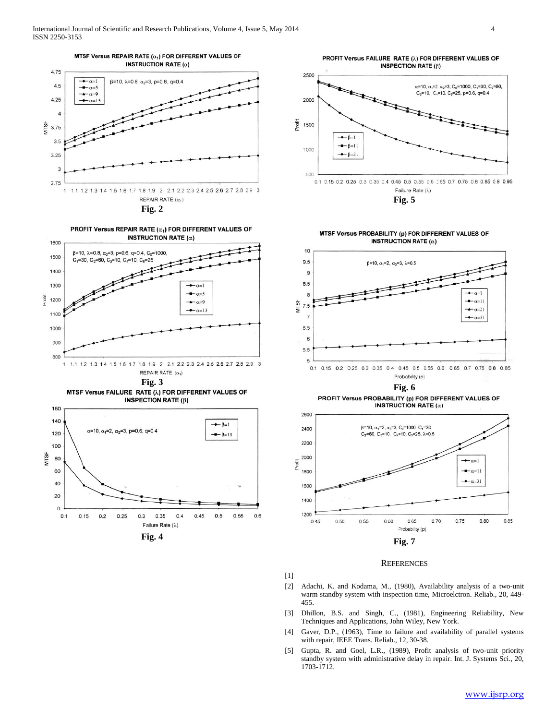



**Fig. 3** MTSF Versus FAILURE RATE (2) FOR DIFFERENT VALUES OF



PROFIT Versus FAILURE RATE (1) FOR DIFFERENT VALUES OF **INSPECTION RATE (B)** 



**Fig. 5**

MTSF Versus PROBABILITY (p) FOR DIFFERENT VALUES OF **INSTRUCTION RATE (** $\alpha$ **)** 



**Fig. 6** PROFIT Versus PROBABILITY (p) FOR DIFFERENT VALUES OF



**REFERENCES** 

- [1]
- [2] Adachi, K. and Kodama, M., (1980), Availability analysis of a two-unit warm standby system with inspection time, Microelctron. Reliab., 20, 449- 455.
- [3] Dhillon, B.S. and Singh, C., (1981), Engineering Reliability, New Techniques and Applications, John Wiley, New York.
- [4] Gaver, D.P., (1963), Time to failure and availability of parallel systems with repair, IEEE Trans. Reliab., 12, 30-38.
- [5] Gupta, R. and Goel, L.R., (1989), Profit analysis of two-unit priority standby system with administrative delay in repair. Int. J. Systems Sci., 20, 1703-1712.